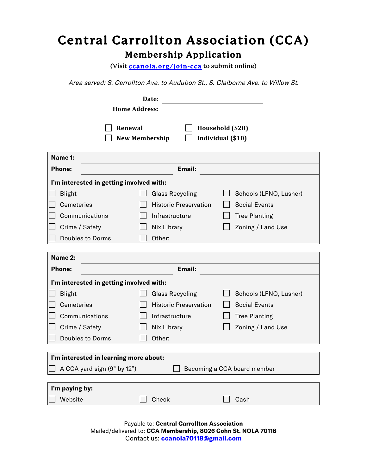# **Central Carrollton Association (CCA) Membership Application**

**(Visit ccanola.org/join-cca to submit online)**

Area served: S. Carrollton Ave. to Audubon St., S. Claiborne Ave. to Willow St.

|                                                            | Date:                            |                                       |
|------------------------------------------------------------|----------------------------------|---------------------------------------|
| <b>Home Address:</b>                                       |                                  |                                       |
|                                                            | Renewal<br><b>New Membership</b> | Household (\$20)<br>Individual (\$10) |
| Name 1:                                                    |                                  |                                       |
| <b>Phone:</b>                                              | <b>Email:</b>                    |                                       |
| I'm interested in getting involved with:                   |                                  |                                       |
| Blight                                                     | <b>Glass Recycling</b>           | Schools (LFNO, Lusher)                |
| Cemeteries                                                 | <b>Historic Preservation</b>     | <b>Social Events</b>                  |
| Communications                                             | Infrastructure                   | <b>Tree Planting</b>                  |
| Crime / Safety                                             | Nix Library                      | Zoning / Land Use                     |
| <b>Doubles to Dorms</b>                                    | Other:                           |                                       |
|                                                            |                                  |                                       |
| Name 2:                                                    | <b>Email:</b>                    |                                       |
| <b>Phone:</b>                                              |                                  |                                       |
| I'm interested in getting involved with:                   |                                  |                                       |
| <b>Blight</b>                                              | <b>Glass Recycling</b>           | Schools (LFNO, Lusher)                |
| <b>Cemeteries</b>                                          | <b>Historic Preservation</b>     | <b>Social Events</b>                  |
| Communications                                             | Infrastructure                   | <b>Tree Planting</b>                  |
| Crime / Safety                                             | Nix Library                      | Zoning / Land Use                     |
| <b>Doubles to Dorms</b>                                    | Other:                           |                                       |
|                                                            |                                  |                                       |
| I'm interested in learning more about:                     |                                  |                                       |
| A CCA yard sign (9" by 12")<br>Becoming a CCA board member |                                  |                                       |
| I'm paying by:                                             |                                  |                                       |
| Website                                                    | Check                            | Cash                                  |
|                                                            |                                  |                                       |

Payable to: **Central Carrollton Association** Mailed/delivered to: **CCA Membership, 8026 Cohn St. NOLA 70118** Contact us: **ccanola70118@gmail.com**